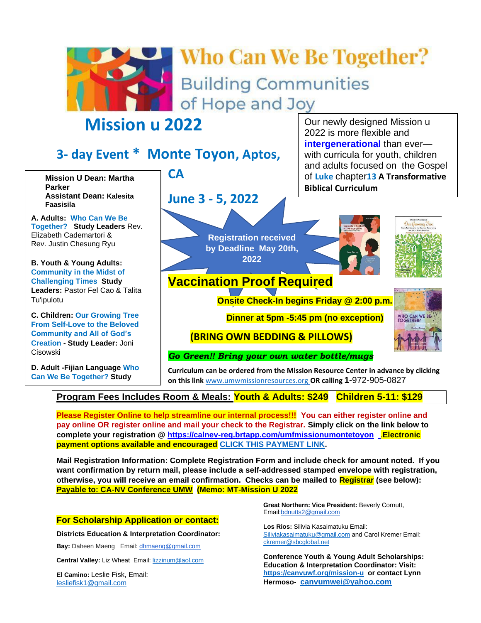

# **Who Can We Be Together? Building Communities** of Hope and Joy

## **Mission u 2022**

## **3- day Event \* Monte Toyon, Aptos,**

**Mission U Dean: Martha Parker Assistant Dean: Kalesita Faasisila**

**A. Adults: Who Can We Be Together? Study Leaders** Rev. Elizabeth Cademartori & Rev. Justin Chesung Ryu

**B. Youth & Young Adults: Community in the Midst of Challenging Times Study Leaders:** Pastor Fel Cao & Talita Tu'ipulotu

**C. Children: Our Growing Tree From Self-Love to the Beloved Community and All of God's Creation - Study Leader:** Joni Cisowski

**D. Adult -Fijian Language Who Can We Be Together? Study** 

**Leader : Bay District UMW** 

**CA**

**June 3 - 5, 2022**

**Registration received by Deadline May 20th, 2022**



**Biblical Curriculum**

Our newly designed Mission u 2022 is more flexible and

**intergenerational** than ever with curricula for youth, children and adults focused on the Gospel of **Luke** chapter**13 A Transformative** 



### **Vaccination Proof Required**

**Onsite Check-In begins Friday @ 2:00 p.m.** 

**Dinner at 5pm -5:45 pm (no exception)**

 **(BRING OWN BEDDING & PILLOWS)**

*Go Green!! Bring your own water bottle/mugs*

**Curriculum can be ordered from the Mission Resource Center in advance by clicking on this link** [www.umwmissionresources.org](https://www.umwmissionresources.org/shopping_product_list.asp?catID=14030) **OR calling 1-**972-905-0827

#### **Program Fees Includes Room & Meals: Youth & Adults: \$249 Children 5-11: \$129 President, Iva Turaga**

**Please Register Online to help streamline our internal process!!! You can either register online and pay online OR register online and mail your check to the Registrar. Simply click on the link below to complete your registration @ <https://calnev-reg.brtapp.com/umfmissionumontetoyon>** [.](https://secure.myvanco.com/L-Z5P0)**Electronic payment options available and encouraged [CLICK THIS PAYMENT LINK.](https://secure.myvanco.com/L-Z5P0)**

**Mail Registration Information: Complete Registration Form and include check for amount noted. If you want confirmation by return mail, please include a self-addressed stamped envelope with registration, otherwise, you will receive an email confirmation. Checks can be mailed to Registrar (see below): Payable to: CA-NV Conference UMW (Memo: MT-Mission U 2022**

#### **For Scholarship Application or contact:**

**Districts Education & Interpretation Coordinator:**

**Bay:** Daheen Maeng Email: [dhmaeng@gmail.com](mailto:dhmaeng@gmail.com)

**Central Valley:** Liz Wheat Email: **lizzinum@aol.com** 

**El Camino:** Leslie Fisk, Email: [lesliefisk1@gmail.com](mailto:lesliefisk1@gmail.com)

**Great Northern: Vice President:** Beverly Cornutt, Email:bdnutts2@gmail.com

**Los Rios:** Silivia Kasaimatuku Email: [Siliviakasaimatuku@gmail.com](mailto:Siliviakasaimataku@gmail.com) and Carol Kremer Email: [ckremer@sbcglobal.net](mailto:ckremer@sbcglobal.net)

**Conference Youth & Young Adult Scholarships: Education & Interpretation Coordinator: Visit: <https://canvuwf.org/mission-u>or contact Lynn Hermoso- [canvumwei@yahoo.com](mailto:canvumwei@yahoo.com)**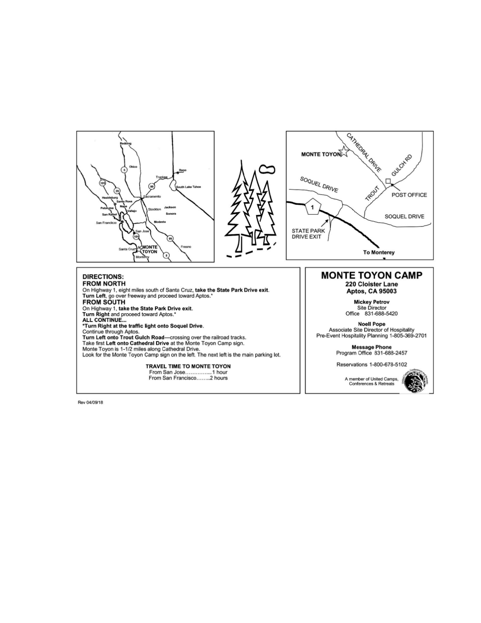

Rev 04/09/18